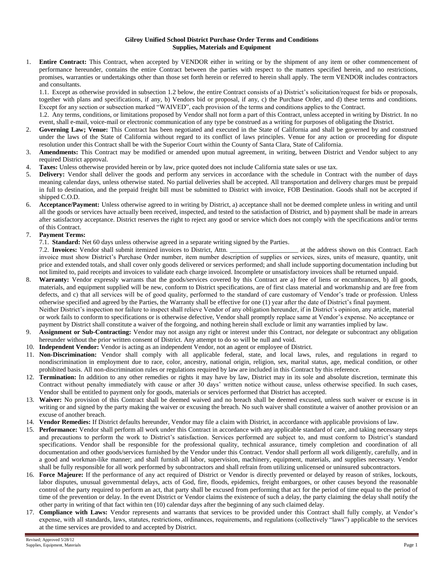## **Gilroy Unified School District Purchase Order Terms and Conditions Supplies, Materials and Equipment**

1. **Entire Contract:** This Contract, when accepted by VENDOR either in writing or by the shipment of any item or other commencement of performance hereunder, contains the entire Contract between the parties with respect to the matters specified herein, and no restrictions, promises, warranties or undertakings other than those set forth herein or referred to herein shall apply. The term VENDOR includes contractors and consultants.

1.1. Except as otherwise provided in subsection 1.2 below, the entire Contract consists of a) District's solicitation/request for bids or proposals, together with plans and specifications, if any, b) Vendors bid or proposal, if any, c) the Purchase Order, and d) these terms and conditions. Except for any section or subsection marked "WAIVED", each provision of the terms and conditions applies to the Contract.

1.2. Any terms, conditions, or limitations proposed by Vendor shall not form a part of this Contract, unless accepted in writing by District. In no event, shall e-mail, voice-mail or electronic communication of any type be construed as a writing for purposes of obligating the District.

- 2. **Governing Law; Venue:** This Contract has been negotiated and executed in the State of California and shall be governed by and construed under the laws of the State of California without regard to its conflict of laws principles. Venue for any action or proceeding for dispute resolution under this Contract shall be with the Superior Court within the County of Santa Clara, State of California.
- 3. **Amendments:** This Contract may be modified or amended upon mutual agreement, in writing, between District and Vendor subject to any required District approval.
- 4. **Taxes:** Unless otherwise provided herein or by law, price quoted does not include California state sales or use tax.
- 5. **Delivery:** Vendor shall deliver the goods and perform any services in accordance with the schedule in Contract with the number of days meaning calendar days, unless otherwise stated. No partial deliveries shall be accepted. All transportation and delivery charges must be prepaid in full to destination, and the prepaid freight bill must be submitted to District with invoice, FOB Destination. Goods shall not be accepted if shipped C.O.D.
- 6. **Acceptance/Payment:** Unless otherwise agreed to in writing by District, a) acceptance shall not be deemed complete unless in writing and until all the goods or services have actually been received, inspected, and tested to the satisfaction of District, and b) payment shall be made in arrears after satisfactory acceptance. District reserves the right to reject any good or service which does not comply with the specifications and/or terms of this Contract.

## 7. **Payment Terms:**

7.1. **Standard:** Net 60 days unless otherwise agreed in a separate writing signed by the Parties.

7.2. **Invoices:** Vendor shall submit itemized invoices to District, Attn.  $\qquad \qquad$  at the address shown on this Contract. Each invoice must show District's Purchase Order number, item number description of supplies or services, sizes, units of measure, quantity, unit price and extended totals, and shall cover only goods delivered or services performed; and shall include supporting documentation including but not limited to, paid receipts and invoices to validate each charge invoiced. Incomplete or unsatisfactory invoices shall be returned unpaid.

- 8. **Warranty:** Vendor expressly warrants that the goods/services covered by this Contract are a) free of liens or encumbrances, b) all goods, materials, and equipment supplied will be new, conform to District specifications, are of first class material and workmanship and are free from defects, and c) that all services will be of good quality, performed to the standard of care customary of Vendor's trade or profession. Unless otherwise specified and agreed by the Parties, the Warranty shall be effective for one (1) year after the date of District's final payment. Neither District's inspection nor failure to inspect shall relieve Vendor of any obligation hereunder, if in District's opinion, any article, material or work fails to conform to specifications or is otherwise defective, Vendor shall promptly replace same at Vendor's expense. No acceptance or payment by District shall constitute a waiver of the forgoing, and nothing herein shall exclude or limit any warranties implied by law.
- 9. **Assignment or Sub-Contracting:** Vendor may not assign any right or interest under this Contract, nor delegate or subcontract any obligation hereunder without the prior written consent of District. Any attempt to do so will be null and void.
- 10. **Independent Vendor:** Vendor is acting as an independent Vendor, not an agent or employee of District.
- 11. **Non-Discrimination:** Vendor shall comply with all applicable federal, state, and local laws, rules, and regulations in regard to nondiscrimination in employment due to race, color, ancestry, national origin, religion, sex, marital status, age, medical condition, or other prohibited basis. All non-discrimination rules or regulations required by law are included in this Contract by this reference.
- 12. **Termination:** In addition to any other remedies or rights it may have by law, District may in its sole and absolute discretion, terminate this Contract without penalty immediately with cause or after 30 days' written notice without cause, unless otherwise specified. In such cases, Vendor shall be entitled to payment only for goods, materials or services performed that District has accepted.
- 13. **Waiver:** No provision of this Contract shall be deemed waived and no breach shall be deemed excused, unless such waiver or excuse is in writing or and signed by the party making the waiver or excusing the breach. No such waiver shall constitute a waiver of another provision or an excuse of another breach.
- 14. **Vendor Remedies:** If District defaults hereunder, Vendor may file a claim with District, in accordance with applicable provisions of law.
- 15. **Performance:** Vendor shall perform all work under this Contract in accordance with any applicable standard of care, and taking necessary steps and precautions to perform the work to District's satisfaction. Services performed are subject to, and must conform to District's standard specifications. Vendor shall be responsible for the professional quality, technical assurance, timely completion and coordination of all documentation and other goods/services furnished by the Vendor under this Contract. Vendor shall perform all work diligently, carefully, and in a good and workman-like manner; and shall furnish all labor, supervision, machinery, equipment, materials, and supplies necessary. Vendor shall be fully responsible for all work performed by subcontractors and shall refrain from utilizing unlicensed or uninsured subcontractors.
- 16. **Force Majeure:** If the performance of any act required of District or Vendor is directly prevented or delayed by reason of strikes, lockouts, labor disputes, unusual governmental delays, acts of God, fire, floods, epidemics, freight embargoes, or other causes beyond the reasonable control of the party required to perform an act, that party shall be excused from performing that act for the period of time equal to the period of time of the prevention or delay. In the event District or Vendor claims the existence of such a delay, the party claiming the delay shall notify the other party in writing of that fact within ten (10) calendar days after the beginning of any such claimed delay.
- 17. **Compliance with Laws:** Vendor represents and warrants that services to be provided under this Contract shall fully comply, at Vendor's expense, with all standards, laws, statutes, restrictions, ordinances, requirements, and regulations (collectively "laws") applicable to the services at the time services are provided to and accepted by District.